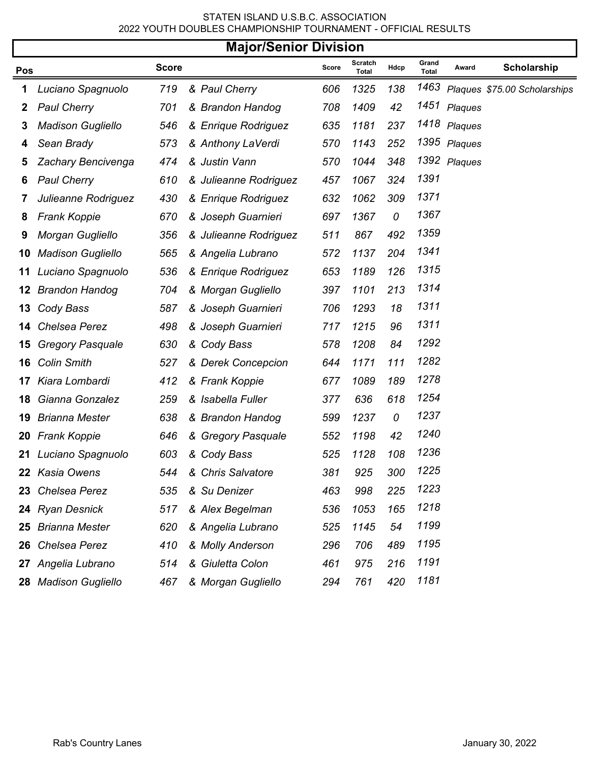## STATEN ISLAND U.S.B.C. ASSOCIATION 2022 YOUTH DOUBLES CHAMPIONSHIP TOURNAMENT - OFFICIAL RESULTS

|     | <b>Major/Senior Division</b> |              |                       |       |                         |      |                       |              |                              |  |
|-----|------------------------------|--------------|-----------------------|-------|-------------------------|------|-----------------------|--------------|------------------------------|--|
| Pos |                              | <b>Score</b> |                       | Score | Scratch<br><b>Total</b> | Hdcp | Grand<br><b>Total</b> | Award        | Scholarship                  |  |
| 1   | Luciano Spagnuolo            | 719          | & Paul Cherry         | 606   | 1325                    | 138  | 1463                  |              | Plaques \$75.00 Scholarships |  |
| 2   | <b>Paul Cherry</b>           | 701          | & Brandon Handog      | 708   | 1409                    | 42   |                       | 1451 Plaques |                              |  |
| 3   | <b>Madison Gugliello</b>     | 546          | & Enrique Rodriguez   | 635   | 1181                    | 237  |                       | 1418 Plaques |                              |  |
| 4   | Sean Brady                   | 573          | & Anthony LaVerdi     | 570   | 1143                    | 252  |                       | 1395 Plaques |                              |  |
| 5   | Zachary Bencivenga           | 474          | & Justin Vann         | 570   | 1044                    | 348  |                       | 1392 Plaques |                              |  |
| 6   | <b>Paul Cherry</b>           | 610          | & Julieanne Rodriguez | 457   | 1067                    | 324  | 1391                  |              |                              |  |
| 7   | Julieanne Rodriguez          | 430          | & Enrique Rodriguez   | 632   | 1062                    | 309  | 1371                  |              |                              |  |
| 8   | <b>Frank Koppie</b>          | 670          | & Joseph Guarnieri    | 697   | 1367                    | 0    | 1367                  |              |                              |  |
| 9   | Morgan Gugliello             | 356          | & Julieanne Rodriguez | 511   | 867                     | 492  | 1359                  |              |                              |  |
| 10  | <b>Madison Gugliello</b>     | 565          | & Angelia Lubrano     | 572   | 1137                    | 204  | 1341                  |              |                              |  |
| 11  | Luciano Spagnuolo            | 536          | & Enrique Rodriguez   | 653   | 1189                    | 126  | 1315                  |              |                              |  |
| 12  | <b>Brandon Handog</b>        | 704          | & Morgan Gugliello    | 397   | 1101                    | 213  | 1314                  |              |                              |  |
| 13  | Cody Bass                    | 587          | & Joseph Guarnieri    | 706   | 1293                    | 18   | 1311                  |              |                              |  |
| 14  | Chelsea Perez                | 498          | & Joseph Guarnieri    | 717   | 1215                    | 96   | 1311                  |              |                              |  |
| 15  | <b>Gregory Pasquale</b>      | 630          | & Cody Bass           | 578   | 1208                    | 84   | 1292                  |              |                              |  |
| 16  | <b>Colin Smith</b>           | 527          | & Derek Concepcion    | 644   | 1171                    | 111  | 1282                  |              |                              |  |
| 17  | Kiara Lombardi               | 412          | & Frank Koppie        | 677   | 1089                    | 189  | 1278                  |              |                              |  |
| 18  | Gianna Gonzalez              | 259          | & Isabella Fuller     | 377   | 636                     | 618  | 1254                  |              |                              |  |
| 19  | <b>Brianna Mester</b>        | 638          | & Brandon Handog      | 599   | 1237                    | 0    | 1237                  |              |                              |  |
| 20  | <b>Frank Koppie</b>          | 646          | & Gregory Pasquale    | 552   | 1198                    | 42   | 1240                  |              |                              |  |
|     | 21 Luciano Spagnuolo         | 603          | & Cody Bass           | 525   | 1128                    | 108  | 1236                  |              |                              |  |
|     | 22 Kasia Owens               | 544          | & Chris Salvatore     | 381   | 925                     | 300  | 1225                  |              |                              |  |
|     | 23 Chelsea Perez             | 535          | & Su Denizer          | 463   | 998                     | 225  | 1223                  |              |                              |  |
|     | 24 Ryan Desnick              | 517          | & Alex Begelman       | 536   | 1053                    | 165  | 1218                  |              |                              |  |
| 25  | <b>Brianna Mester</b>        | 620          | & Angelia Lubrano     | 525   | 1145                    | 54   | 1199                  |              |                              |  |
| 26  | Chelsea Perez                | 410          | & Molly Anderson      | 296   | 706                     | 489  | 1195                  |              |                              |  |
| 27  | Angelia Lubrano              | 514          | & Giuletta Colon      | 461   | 975                     | 216  | 1191                  |              |                              |  |
|     | 28 Madison Gugliello         | 467          | & Morgan Gugliello    | 294   | 761                     | 420  | 1181                  |              |                              |  |